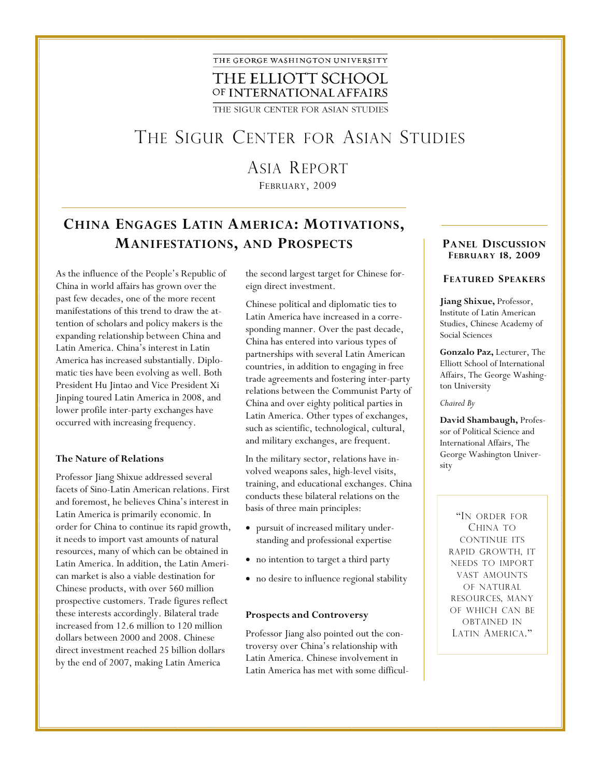

THE SIGUR CENTER FOR ASIAN STUDIES

## THE SIGUR CENTER FOR ASIAN STUDIES

# ASIA REPORT

FEBRUARY, 2009

### **CHINA ENGAGES LATIN AMERICA: MOTIVATIONS, MANIFESTATIONS, AND PROSPECTS PANEL DISCUSSION**

As the influence of the People's Republic of China in world affairs has grown over the past few decades, one of the more recent manifestations of this trend to draw the attention of scholars and policy makers is the expanding relationship between China and Latin America. China's interest in Latin America has increased substantially. Diplomatic ties have been evolving as well. Both President Hu Jintao and Vice President Xi Jinping toured Latin America in 2008, and lower profile inter-party exchanges have occurred with increasing frequency.

#### **The Nature of Relations**

Professor Jiang Shixue addressed several facets of Sino-Latin American relations. First and foremost, he believes China's interest in Latin America is primarily economic. In order for China to continue its rapid growth, it needs to import vast amounts of natural resources, many of which can be obtained in Latin America. In addition, the Latin American market is also a viable destination for Chinese products, with over 560 million prospective customers. Trade figures reflect these interests accordingly. Bilateral trade increased from 12.6 million to 120 million dollars between 2000 and 2008. Chinese direct investment reached 25 billion dollars by the end of 2007, making Latin America

the second largest target for Chinese foreign direct investment.

Chinese political and diplomatic ties to Latin America have increased in a corresponding manner. Over the past decade, China has entered into various types of partnerships with several Latin American countries, in addition to engaging in free trade agreements and fostering inter-party relations between the Communist Party of China and over eighty political parties in Latin America. Other types of exchanges, such as scientific, technological, cultural, and military exchanges, are frequent.

In the military sector, relations have involved weapons sales, high-level visits, training, and educational exchanges. China conducts these bilateral relations on the basis of three main principles:

- pursuit of increased military understanding and professional expertise
- no intention to target a third party
- no desire to influence regional stability

#### **Prospects and Controversy**

Professor Jiang also pointed out the controversy over China's relationship with Latin America. Chinese involvement in Latin America has met with some difficul-

# **FEBRUARY 18, 2009**

#### **FEATURED SPEAKERS**

**Jiang Shixue,** Professor, Institute of Latin American Studies, Chinese Academy of Social Sciences

**Gonzalo Paz,** Lecturer, The Elliott School of International Affairs, The George Washington University

#### *Chaired By*

**David Shambaugh,** Professor of Political Science and International Affairs, The George Washington University

"IN ORDER FOR CHINA TO CONTINUE ITS RAPID GROWTH, IT NEEDS TO IMPORT VAST AMOUNTS OF NATURAL RESOURCES, MANY OF WHICH CAN BE OBTAINED IN LATIN AMERICA."